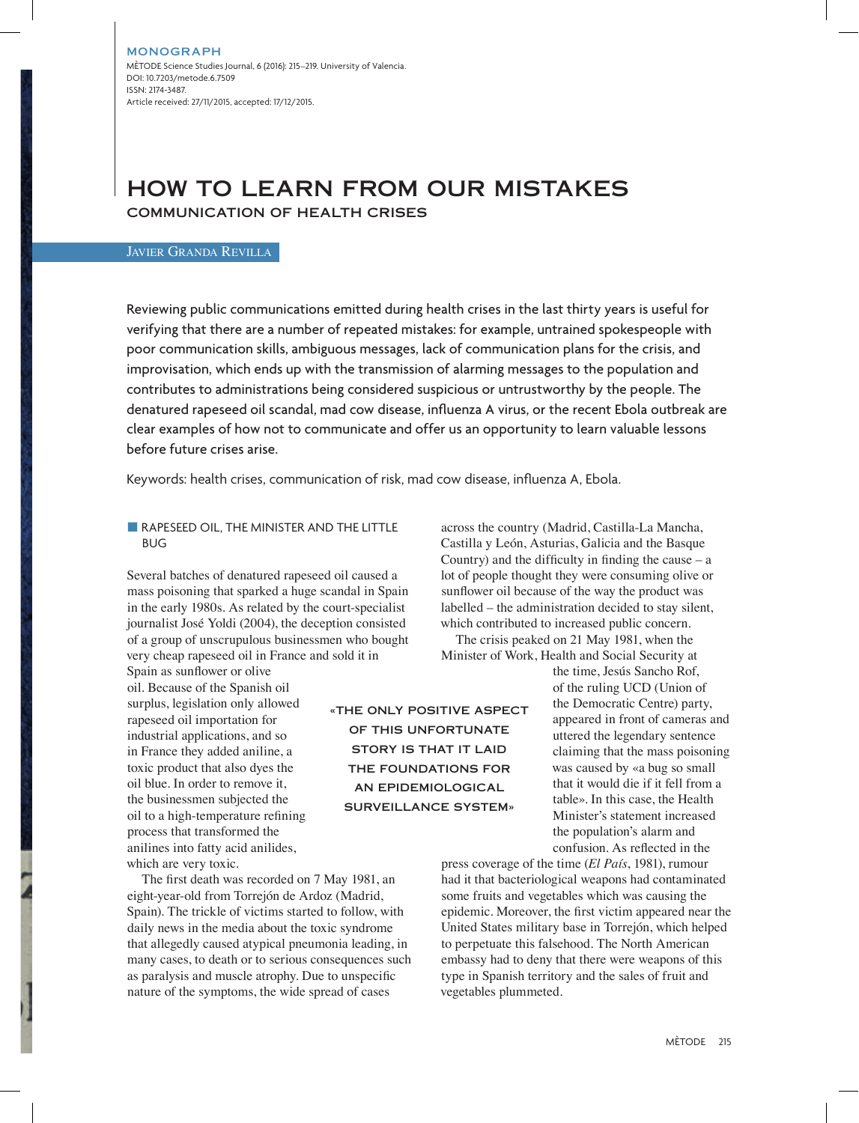# HOW TO LEARN FROM OUR MISTAKES

COMMUNICATION OF HEALTH CRISES

## Javier Granda Revilla

Reviewing public communications emitted during health crises in the last thirty years is useful for verifying that there are a number of repeated mistakes: for example, untrained spokespeople with poor communication skills, ambiguous messages, lack of communication plans for the crisis, and improvisation, which ends up with the transmission of alarming messages to the population and contributes to administrations being considered suspicious or untrustworthy by the people. The denatured rapeseed oil scandal, mad cow disease, influenza A virus, or the recent Ebola outbreak are clear examples of how not to communicate and offer us an opportunity to learn valuable lessons before future crises arise.

Keywords: health crises, communication of risk, mad cow disease, influenza A, Ebola.

#### **RAPESEED OIL, THE MINISTER AND THE LITTLE** BUG

Several batches of denatured rapeseed oil caused a mass poisoning that sparked a huge scandal in Spain in the early 1980s. As related by the court-specialist journalist José Yoldi (2004), the deception consisted of a group of unscrupulous businessmen who bought very cheap rapeseed oil in France and sold it in

Spain as sunflower or olive oil. Because of the Spanish oil surplus, legislation only allowed rapeseed oil importation for industrial applications, and so in France they added aniline, a toxic product that also dyes the oil blue. In order to remove it, the businessmen subjected the oil to a high-temperature refining process that transformed the anilines into fatty acid anilides, which are very toxic.

The first death was recorded on 7 May 1981, an eight-year-old from Torrejón de Ardoz (Madrid, Spain). The trickle of victims started to follow, with daily news in the media about the toxic syndrome that allegedly caused atypical pneumonia leading, in many cases, to death or to serious consequences such as paralysis and muscle atrophy. Due to unspecific nature of the symptoms, the wide spread of cases

across the country (Madrid, Castilla-La Mancha, Castilla y León, Asturias, Galicia and the Basque Country) and the difficulty in finding the cause  $-$  a lot of people thought they were consuming olive or sunflower oil because of the way the product was labelled – the administration decided to stay silent, which contributed to increased public concern.

The crisis peaked on 21 May 1981, when the Minister of Work, Health and Social Security at

> the time, Jesús Sancho Rof, of the ruling UCD (Union of the Democratic Centre) party, appeared in front of cameras and uttered the legendary sentence claiming that the mass poisoning was caused by «a bug so small that it would die if it fell from a table». In this case, the Health Minister's statement increased the population's alarm and confusion. As reflected in the

press coverage of the time (*El País*, 1981), rumour had it that bacteriological weapons had contaminated some fruits and vegetables which was causing the epidemic. Moreover, the first victim appeared near the United States military base in Torrejón, which helped to perpetuate this falsehood. The North American embassy had to deny that there were weapons of this type in Spanish territory and the sales of fruit and vegetables plummeted.

«THE ONLY POSITIVE ASPECT OF THIS UNFORTUNATE STORY IS THAT IT LAID THE FOUNDATIONS FOR AN EPIDEMIOLOGICAL SURVEILLANCE SYSTEM»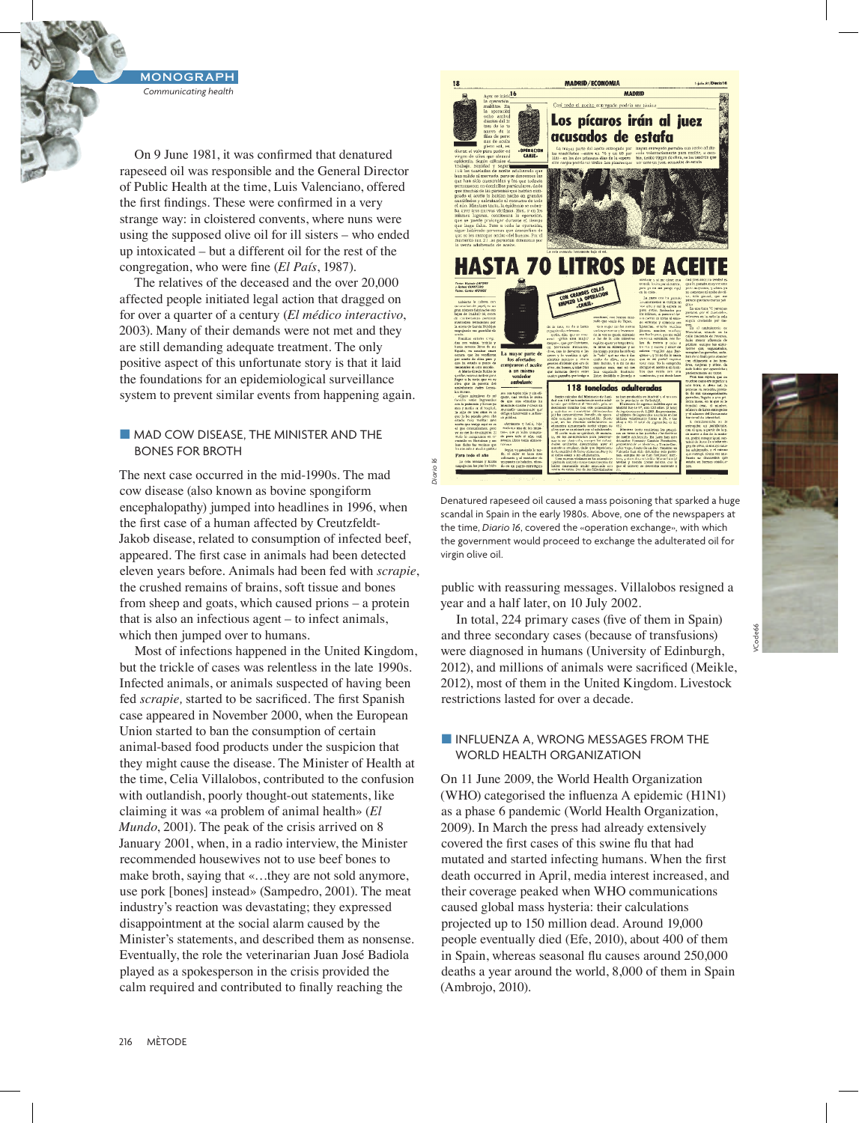On 9 June 1981, it was confirmed that denatured rapeseed oil was responsible and the General Director of Public Health at the time, Luis Valenciano, offered the first findings. These were confirmed in a very strange way: in cloistered convents, where nuns were using the supposed olive oil for ill sisters – who ended up intoxicated – but a different oil for the rest of the congregation, who were fine (*El País*, 1987).

The relatives of the deceased and the over 20,000 affected people initiated legal action that dragged on for over a quarter of a century (*El médico interactivo*, 2003). Many of their demands were not met and they are still demanding adequate treatment. The only positive aspect of this unfortunate story is that it laid the foundations for an epidemiological surveillance system to prevent similar events from happening again.

### $\blacksquare$  MAD COW DISEASE, THE MINISTER AND THE BONES FOR BROTH

The next case occurred in the mid-1990s. The mad cow disease (also known as bovine spongiform encephalopathy) jumped into headlines in 1996, when the first case of a human affected by Creutzfeldt-Jakob disease, related to consumption of infected beef, appeared. The first case in animals had been detected eleven years before. Animals had been fed with *scrapie*, the crushed remains of brains, soft tissue and bones from sheep and goats, which caused prions – a protein that is also an infectious agent – to infect animals, which then jumped over to humans.

Most of infections happened in the United Kingdom, but the trickle of cases was relentless in the late 1990s. Infected animals, or animals suspected of having been fed *scrapie,* started to be sacrificed. The first Spanish case appeared in November 2000, when the European Union started to ban the consumption of certain animal-based food products under the suspicion that they might cause the disease. The Minister of Health at the time, Celia Villalobos, contributed to the confusion with outlandish, poorly thought-out statements, like claiming it was «a problem of animal health» (*El Mundo*, 2001). The peak of the crisis arrived on 8 January 2001, when, in a radio interview, the Minister recommended housewives not to use beef bones to make broth, saying that «…they are not sold anymore, use pork [bones] instead» (Sampedro, 2001). The meat industry's reaction was devastating; they expressed disappointment at the social alarm caused by the Minister's statements, and described them as nonsense. Eventually, the role the veterinarian Juan José Badiola played as a spokesperson in the crisis provided the calm required and contributed to finally reaching the



Denatured rapeseed oil caused a mass poisoning that sparked a huge scandal in Spain in the early 1980s. Above, one of the newspapers at the time, *Diario 16*, covered the «operation exchange», with which the government would proceed to exchange the adulterated oil for virgin olive oil.

*Diario 16*

public with reassuring messages. Villalobos resigned a year and a half later, on 10 July 2002.

In total, 224 primary cases (five of them in Spain) and three secondary cases (because of transfusions) were diagnosed in humans (University of Edinburgh, 2012), and millions of animals were sacrificed (Meikle, 2012), most of them in the United Kingdom. Livestock restrictions lasted for over a decade.

#### **N INFLUENZA A, WRONG MESSAGES FROM THE** WORLD HEALTH ORGANIZATION

On 11 June 2009, the World Health Organization (WHO) categorised the influenza A epidemic (H1N1) as a phase 6 pandemic (World Health Organization, 2009). In March the press had already extensively covered the first cases of this swine flu that had mutated and started infecting humans. When the first death occurred in April, media interest increased, and their coverage peaked when WHO communications caused global mass hysteria: their calculations projected up to 150 million dead. Around 19,000 people eventually died (Efe, 2010), about 400 of them in Spain, whereas seasonal flu causes around 250,000 deaths a year around the world, 8,000 of them in Spain (Ambrojo, 2010).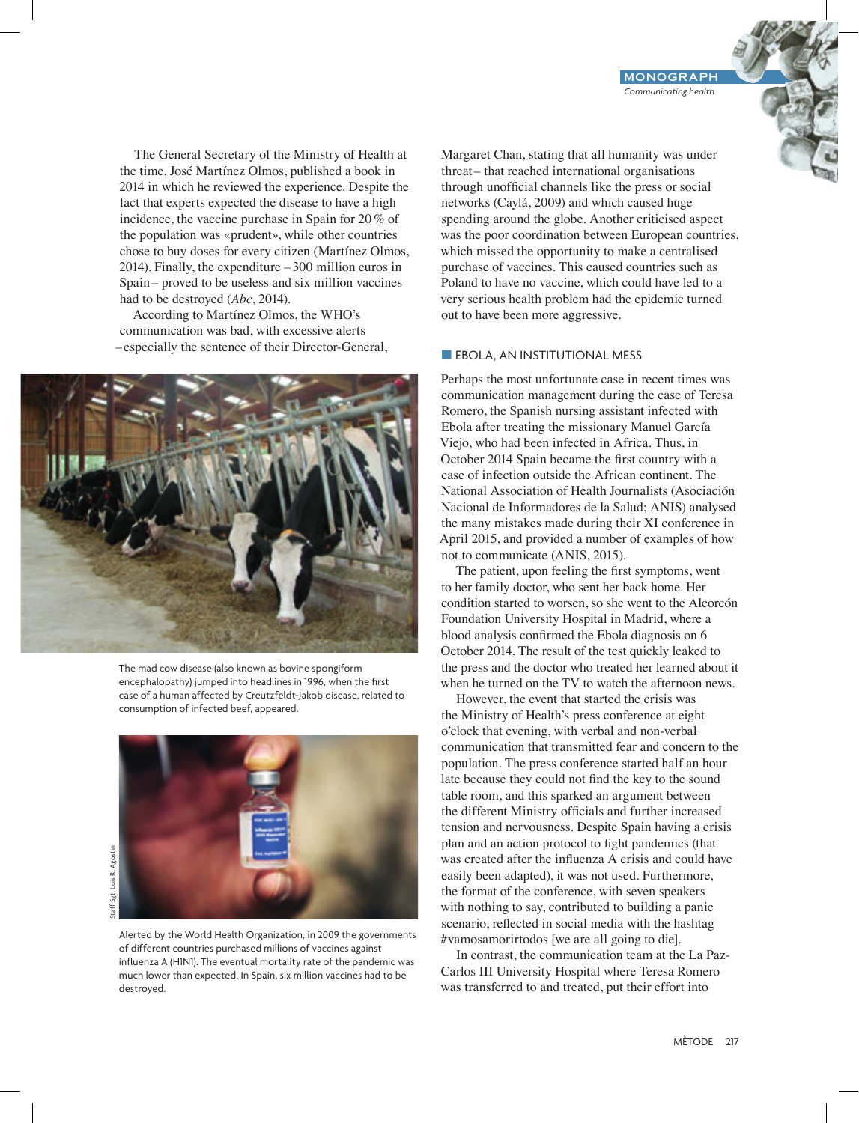The General Secretary of the Ministry of Health at the time, José Martínez Olmos, published a book in 2014 in which he reviewed the experience. Despite the fact that experts expected the disease to have a high incidence, the vaccine purchase in Spain for 20% of the population was «prudent», while other countries chose to buy doses for every citizen (Martínez Olmos, 2014). Finally, the expenditure – 300 million euros in Spain– proved to be useless and six million vaccines had to be destroyed (*Abc*, 2014).

According to Martínez Olmos, the WHO's communication was bad, with excessive alerts –especially the sentence of their Director-General,



The mad cow disease (also known as bovine spongiform encephalopathy) jumped into headlines in 1996, when the first case of a human affected by Creutzfeldt-Jakob disease, related to consumption of infected beef, appeared.



Alerted by the World Health Organization, in 2009 the governments of different countries purchased millions of vaccines against influenza A (H1N1). The eventual mortality rate of the pandemic was much lower than expected. In Spain, six million vaccines had to be destroyed.

Margaret Chan, stating that all humanity was under threat– that reached international organisations through unofficial channels like the press or social networks (Caylá, 2009) and which caused huge spending around the globe. Another criticised aspect was the poor coordination between European countries, which missed the opportunity to make a centralised purchase of vaccines. This caused countries such as Poland to have no vaccine, which could have led to a very serious health problem had the epidemic turned out to have been more aggressive.

#### **EBOLA, AN INSTITUTIONAL MESS**

Perhaps the most unfortunate case in recent times was communication management during the case of Teresa Romero, the Spanish nursing assistant infected with Ebola after treating the missionary Manuel García Viejo, who had been infected in Africa. Thus, in October 2014 Spain became the first country with a case of infection outside the African continent. The National Association of Health Journalists (Asociación Nacional de Informadores de la Salud; ANIS) analysed the many mistakes made during their XI conference in April 2015, and provided a number of examples of how not to communicate (ANIS, 2015).

The patient, upon feeling the first symptoms, went to her family doctor, who sent her back home. Her condition started to worsen, so she went to the Alcorcón Foundation University Hospital in Madrid, where a blood analysis confirmed the Ebola diagnosis on 6 October 2014. The result of the test quickly leaked to the press and the doctor who treated her learned about it when he turned on the TV to watch the afternoon news.

However, the event that started the crisis was the Ministry of Health's press conference at eight o'clock that evening, with verbal and non-verbal communication that transmitted fear and concern to the population. The press conference started half an hour late because they could not find the key to the sound table room, and this sparked an argument between the different Ministry officials and further increased tension and nervousness. Despite Spain having a crisis plan and an action protocol to fight pandemics (that was created after the influenza A crisis and could have easily been adapted), it was not used. Furthermore, the format of the conference, with seven speakers with nothing to say, contributed to building a panic scenario, reflected in social media with the hashtag #vamosamorirtodos [we are all going to die].

In contrast, the communication team at the La Paz-Carlos III University Hospital where Teresa Romero was transferred to and treated, put their effort into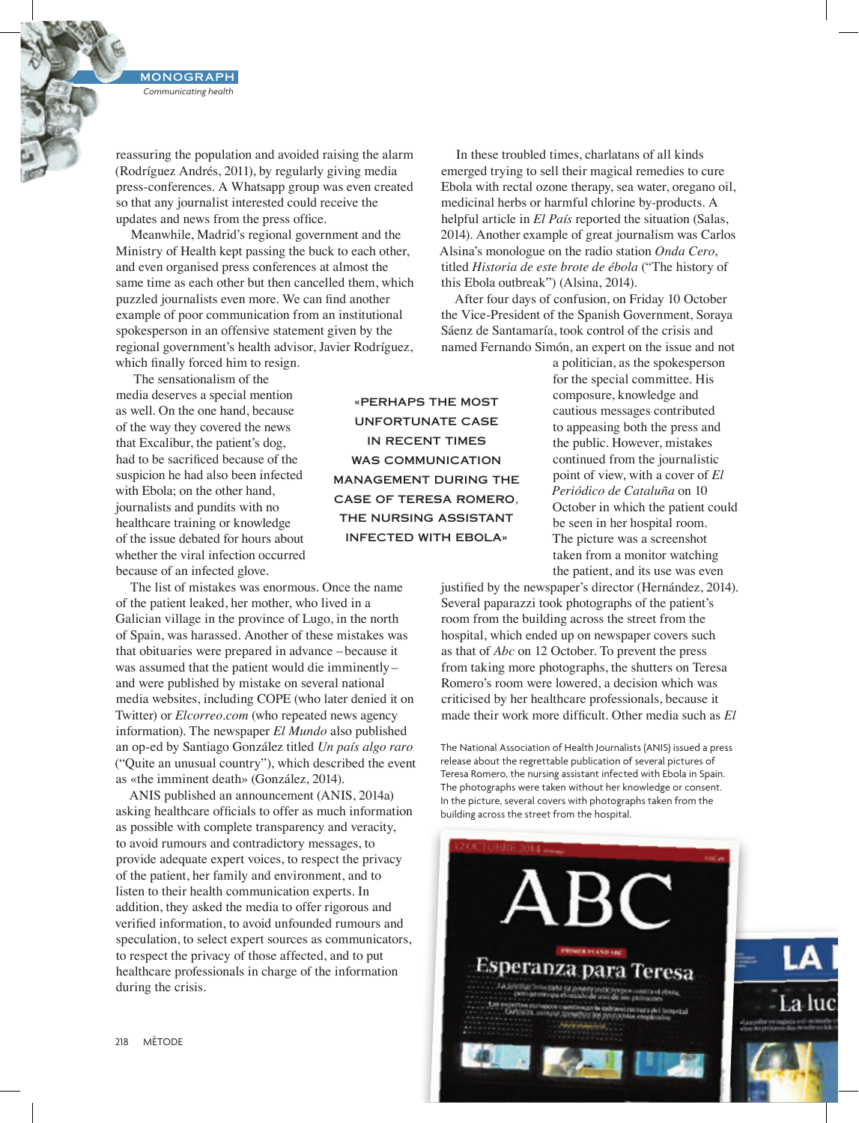reassuring the population and avoided raising the alarm (Rodríguez Andrés, 2011), by regularly giving media press-conferences. A Whatsapp group was even created so that any journalist interested could receive the updates and news from the press office.

Meanwhile, Madrid's regional government and the Ministry of Health kept passing the buck to each other, and even organised press conferences at almost the same time as each other but then cancelled them, which puzzled journalists even more. We can find another example of poor communication from an institutional spokesperson in an offensive statement given by the regional government's health advisor, Javier Rodríguez, which finally forced him to resign.

 The sensationalism of the media deserves a special mention as well. On the one hand, because of the way they covered the news that Excalibur, the patient's dog, had to be sacrificed because of the suspicion he had also been infected with Ebola; on the other hand, journalists and pundits with no healthcare training or knowledge of the issue debated for hours about whether the viral infection occurred because of an infected glove.

The list of mistakes was enormous. Once the name of the patient leaked, her mother, who lived in a Galician village in the province of Lugo, in the north of Spain, was harassed. Another of these mistakes was that obituaries were prepared in advance – because it was assumed that the patient would die imminently– and were published by mistake on several national media websites, including COPE (who later denied it on Twitter) or *Elcorreo.com* (who repeated news agency information). The newspaper *El Mundo* also published an op-ed by Santiago González titled *Un país algo raro* ("Quite an unusual country"), which described the event as «the imminent death» (González, 2014).

ANIS published an announcement (ANIS, 2014a) asking healthcare officials to offer as much information as possible with complete transparency and veracity, to avoid rumours and contradictory messages, to provide adequate expert voices, to respect the privacy of the patient, her family and environment, and to listen to their health communication experts. In addition, they asked the media to offer rigorous and verified information, to avoid unfounded rumours and speculation, to select expert sources as communicators, to respect the privacy of those affected, and to put healthcare professionals in charge of the information during the crisis.

«PERHAPS THE MOST UNFORTUNATE CASE IN RECENT TIMES WAS COMMUNICATION MANAGEMENT DURING THE CASE OF TERESA ROMERO, THE NURSING ASSISTANT INFECTED WITH EBOLA»

In these troubled times, charlatans of all kinds emerged trying to sell their magical remedies to cure Ebola with rectal ozone therapy, sea water, oregano oil, medicinal herbs or harmful chlorine by-products. A helpful article in *El País* reported the situation (Salas, 2014). Another example of great journalism was Carlos Alsina's monologue on the radio station *Onda Cero*, titled *Historia de este brote de ébola* ("The history of this Ebola outbreak") (Alsina, 2014).

After four days of confusion, on Friday 10 October the Vice-President of the Spanish Government, Soraya Sáenz de Santamaría, took control of the crisis and named Fernando Simón, an expert on the issue and not

> a politician, as the spokesperson for the special committee. His composure, knowledge and cautious messages contributed to appeasing both the press and the public. However, mistakes continued from the journalistic point of view, with a cover of *El Periódico de Cataluña* on 10 October in which the patient could be seen in her hospital room. The picture was a screenshot taken from a monitor watching the patient, and its use was even

justified by the newspaper's director (Hernández, 2014). Several paparazzi took photographs of the patient's room from the building across the street from the hospital, which ended up on newspaper covers such as that of *Abc* on 12 October. To prevent the press from taking more photographs, the shutters on Teresa Romero's room were lowered, a decision which was criticised by her healthcare professionals, because it made their work more difficult. Other media such as *El* 

The National Association of Health Journalists (ANIS) issued a press release about the regrettable publication of several pictures of Teresa Romero, the nursing assistant infected with Ebola in Spain. The photographs were taken without her knowledge or consent. In the picture, several covers with photographs taken from the building across the street from the hospital.